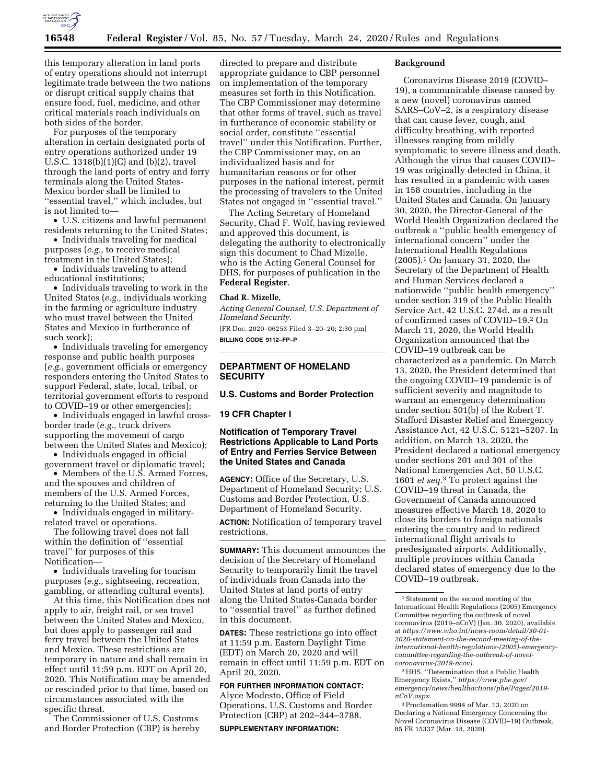

this temporary alteration in land ports of entry operations should not interrupt legitimate trade between the two nations or disrupt critical supply chains that ensure food, fuel, medicine, and other critical materials reach individuals on both sides of the border.

For purposes of the temporary alteration in certain designated ports of entry operations authorized under 19 U.S.C. 1318(b)(1)(C) and (b)(2), travel through the land ports of entry and ferry terminals along the United States-Mexico border shall be limited to ''essential travel,'' which includes, but is not limited to—

• U.S. citizens and lawful permanent residents returning to the United States;

• Individuals traveling for medical purposes (*e.g.,* to receive medical treatment in the United States);

• Individuals traveling to attend educational institutions;

• Individuals traveling to work in the United States (*e.g.,* individuals working in the farming or agriculture industry who must travel between the United States and Mexico in furtherance of such work);

• Individuals traveling for emergency response and public health purposes (*e.g.,* government officials or emergency responders entering the United States to support Federal, state, local, tribal, or territorial government efforts to respond to COVID–19 or other emergencies);

• Individuals engaged in lawful crossborder trade (*e.g.,* truck drivers supporting the movement of cargo between the United States and Mexico);

• Individuals engaged in official government travel or diplomatic travel;

• Members of the U.S. Armed Forces, and the spouses and children of members of the U.S. Armed Forces, returning to the United States; and

• Individuals engaged in militaryrelated travel or operations.

The following travel does not fall within the definition of ''essential travel'' for purposes of this Notification—

• Individuals traveling for tourism purposes (*e.g.,* sightseeing, recreation, gambling, or attending cultural events).

At this time, this Notification does not apply to air, freight rail, or sea travel between the United States and Mexico, but does apply to passenger rail and ferry travel between the United States and Mexico. These restrictions are temporary in nature and shall remain in effect until 11:59 p.m. EDT on April 20, 2020. This Notification may be amended or rescinded prior to that time, based on circumstances associated with the specific threat.

The Commissioner of U.S. Customs and Border Protection (CBP) is hereby

directed to prepare and distribute appropriate guidance to CBP personnel on implementation of the temporary measures set forth in this Notification. The CBP Commissioner may determine that other forms of travel, such as travel in furtherance of economic stability or social order, constitute ''essential travel'' under this Notification. Further, the CBP Commissioner may, on an individualized basis and for humanitarian reasons or for other purposes in the national interest, permit the processing of travelers to the United States not engaged in ''essential travel.''

The Acting Secretary of Homeland Security, Chad F. Wolf, having reviewed and approved this document, is delegating the authority to electronically sign this document to Chad Mizelle, who is the Acting General Counsel for DHS, for purposes of publication in the **Federal Register**.

## **Chad R. Mizelle,**

*Acting General Counsel, U.S. Department of Homeland Security.* 

[FR Doc. 2020–06253 Filed 3–20–20; 2:30 pm] **BILLING CODE 9112–FP–P** 

# **DEPARTMENT OF HOMELAND SECURITY**

## **U.S. Customs and Border Protection**

### **19 CFR Chapter I**

# **Notification of Temporary Travel Restrictions Applicable to Land Ports of Entry and Ferries Service Between the United States and Canada**

**AGENCY:** Office of the Secretary, U.S. Department of Homeland Security; U.S. Customs and Border Protection, U.S. Department of Homeland Security.

**ACTION:** Notification of temporary travel restrictions.

**SUMMARY:** This document announces the decision of the Secretary of Homeland Security to temporarily limit the travel of individuals from Canada into the United States at land ports of entry along the United States-Canada border to ''essential travel'' as further defined in this document.

**DATES:** These restrictions go into effect at 11:59 p.m. Eastern Daylight Time (EDT) on March 20, 2020 and will remain in effect until 11:59 p.m. EDT on April 20, 2020.

**FOR FURTHER INFORMATION CONTACT:**  Alyce Modesto, Office of Field Operations, U.S. Customs and Border Protection (CBP) at 202–344–3788. **SUPPLEMENTARY INFORMATION:** 

#### **Background**

Coronavirus Disease 2019 (COVID– 19), a communicable disease caused by a new (novel) coronavirus named SARS–CoV–2, is a respiratory disease that can cause fever, cough, and difficulty breathing, with reported illnesses ranging from mildly symptomatic to severe illness and death. Although the virus that causes COVID– 19 was originally detected in China, it has resulted in a pandemic with cases in 158 countries, including in the United States and Canada. On January 30, 2020, the Director-General of the World Health Organization declared the outbreak a ''public health emergency of international concern'' under the International Health Regulations (2005).1 On January 31, 2020, the Secretary of the Department of Health and Human Services declared a nationwide ''public health emergency'' under section 319 of the Public Health Service Act, 42 U.S.C. 274d, as a result of confirmed cases of COVID–19.2 On March 11, 2020, the World Health Organization announced that the COVID–19 outbreak can be characterized as a pandemic. On March 13, 2020, the President determined that the ongoing COVID–19 pandemic is of sufficient severity and magnitude to warrant an emergency determination under section 501(b) of the Robert T. Stafford Disaster Relief and Emergency Assistance Act, 42 U.S.C. 5121–5207. In addition, on March 13, 2020, the President declared a national emergency under sections 201 and 301 of the National Emergencies Act, 50 U.S.C. 1601 *et seq.*3 To protect against the COVID–19 threat in Canada, the Government of Canada announced measures effective March 18, 2020 to close its borders to foreign nationals entering the country and to redirect international flight arrivals to predesignated airports. Additionally, multiple provinces within Canada declared states of emergency due to the COVID–19 outbreak.

2HHS, ''Determination that a Public Health Emergency Exists,'' *[https://www.phe.gov/](https://www.phe.gov/emergency/news/healthactions/phe/Pages/2019-nCoV.aspx) [emergency/news/healthactions/phe/Pages/2019](https://www.phe.gov/emergency/news/healthactions/phe/Pages/2019-nCoV.aspx) [nCoV.aspx](https://www.phe.gov/emergency/news/healthactions/phe/Pages/2019-nCoV.aspx)*.

3Proclamation 9994 of Mar. 13, 2020 on Declaring a National Emergency Concerning the Novel Coronavirus Disease (COVID–19) Outbreak, 85 FR 15337 (Mar. 18, 2020).

<sup>1</sup>Statement on the second meeting of the International Health Regulations (2005) Emergency Committee regarding the outbreak of novel coronavirus (2019–nCoV) (Jan. 30, 2020), available at *[https://www.who.int/news-room/detail/30-01-](https://www.who.int/news-room/detail/30-01-2020-statement-on-the-second-meeting-of-the-international-health-regulations-(2005)-emergency-committee-regarding-the-outbreak-of-novel-coronavirus-(2019-ncov))  2020-statement-on-the-second-meeting-of-the[international-health-regulations-\(2005\)-emergency](https://www.who.int/news-room/detail/30-01-2020-statement-on-the-second-meeting-of-the-international-health-regulations-(2005)-emergency-committee-regarding-the-outbreak-of-novel-coronavirus-(2019-ncov))committee-regarding-the-outbreak-of-novel[coronavirus-\(2019-ncov\)](https://www.who.int/news-room/detail/30-01-2020-statement-on-the-second-meeting-of-the-international-health-regulations-(2005)-emergency-committee-regarding-the-outbreak-of-novel-coronavirus-(2019-ncov))*.